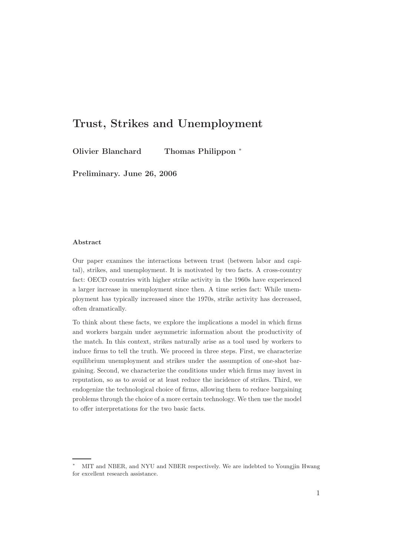# Trust, Strikes and Unemployment

Olivier Blanchard Thomas Philippon <sup>∗</sup>

Preliminary. June 26, 2006

#### Abstract

Our paper examines the interactions between trust (between labor and capital), strikes, and unemployment. It is motivated by two facts. A cross-country fact: OECD countries with higher strike activity in the 1960s have experienced a larger increase in unemployment since then. A time series fact: While unemployment has typically increased since the 1970s, strike activity has decreased, often dramatically.

To think about these facts, we explore the implications a model in which firms and workers bargain under asymmetric information about the productivity of the match. In this context, strikes naturally arise as a tool used by workers to induce firms to tell the truth. We proceed in three steps. First, we characterize equilibrium unemployment and strikes under the assumption of one-shot bargaining. Second, we characterize the conditions under which firms may invest in reputation, so as to avoid or at least reduce the incidence of strikes. Third, we endogenize the technological choice of firms, allowing them to reduce bargaining problems through the choice of a more certain technology. We then use the model to offer interpretations for the two basic facts.

MIT and NBER, and NYU and NBER respectively. We are indebted to Youngjin Hwang for excellent research assistance.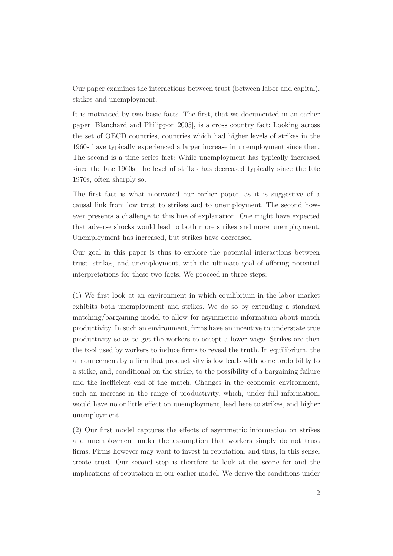Our paper examines the interactions between trust (between labor and capital), strikes and unemployment.

It is motivated by two basic facts. The first, that we documented in an earlier paper [Blanchard and Philippon 2005], is a cross country fact: Looking across the set of OECD countries, countries which had higher levels of strikes in the 1960s have typically experienced a larger increase in unemployment since then. The second is a time series fact: While unemployment has typically increased since the late 1960s, the level of strikes has decreased typically since the late 1970s, often sharply so.

The first fact is what motivated our earlier paper, as it is suggestive of a causal link from low trust to strikes and to unemployment. The second however presents a challenge to this line of explanation. One might have expected that adverse shocks would lead to both more strikes and more unemployment. Unemployment has increased, but strikes have decreased.

Our goal in this paper is thus to explore the potential interactions between trust, strikes, and unemployment, with the ultimate goal of offering potential interpretations for these two facts. We proceed in three steps:

(1) We first look at an environment in which equilibrium in the labor market exhibits both unemployment and strikes. We do so by extending a standard matching/bargaining model to allow for asymmetric information about match productivity. In such an environment, firms have an incentive to understate true productivity so as to get the workers to accept a lower wage. Strikes are then the tool used by workers to induce firms to reveal the truth. In equilibrium, the announcement by a firm that productivity is low leads with some probability to a strike, and, conditional on the strike, to the possibility of a bargaining failure and the inefficient end of the match. Changes in the economic environment, such an increase in the range of productivity, which, under full information, would have no or little effect on unemployment, lead here to strikes, and higher unemployment.

(2) Our first model captures the effects of asymmetric information on strikes and unemployment under the assumption that workers simply do not trust firms. Firms however may want to invest in reputation, and thus, in this sense, create trust. Our second step is therefore to look at the scope for and the implications of reputation in our earlier model. We derive the conditions under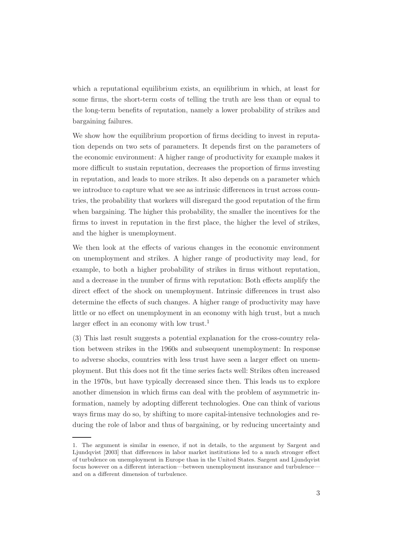which a reputational equilibrium exists, an equilibrium in which, at least for some firms, the short-term costs of telling the truth are less than or equal to the long-term benefits of reputation, namely a lower probability of strikes and bargaining failures.

We show how the equilibrium proportion of firms deciding to invest in reputation depends on two sets of parameters. It depends first on the parameters of the economic environment: A higher range of productivity for example makes it more difficult to sustain reputation, decreases the proportion of firms investing in reputation, and leads to more strikes. It also depends on a parameter which we introduce to capture what we see as intrinsic differences in trust across countries, the probability that workers will disregard the good reputation of the firm when bargaining. The higher this probability, the smaller the incentives for the firms to invest in reputation in the first place, the higher the level of strikes, and the higher is unemployment.

We then look at the effects of various changes in the economic environment on unemployment and strikes. A higher range of productivity may lead, for example, to both a higher probability of strikes in firms without reputation, and a decrease in the number of firms with reputation: Both effects amplify the direct effect of the shock on unemployment. Intrinsic differences in trust also determine the effects of such changes. A higher range of productivity may have little or no effect on unemployment in an economy with high trust, but a much larger effect in an economy with low trust.<sup>1</sup>

(3) This last result suggests a potential explanation for the cross-country relation between strikes in the 1960s and subsequent unemployment: In response to adverse shocks, countries with less trust have seen a larger effect on unemployment. But this does not fit the time series facts well: Strikes often increased in the 1970s, but have typically decreased since then. This leads us to explore another dimension in which firms can deal with the problem of asymmetric information, namely by adopting different technologies. One can think of various ways firms may do so, by shifting to more capital-intensive technologies and reducing the role of labor and thus of bargaining, or by reducing uncertainty and

<sup>1.</sup> The argument is similar in essence, if not in details, to the argument by Sargent and Ljundqvist [2003] that differences in labor market institutions led to a much stronger effect of turbulence on unemployment in Europe than in the United States. Sargent and Ljundqvist focus however on a different interaction—between unemployment insurance and turbulence and on a different dimension of turbulence.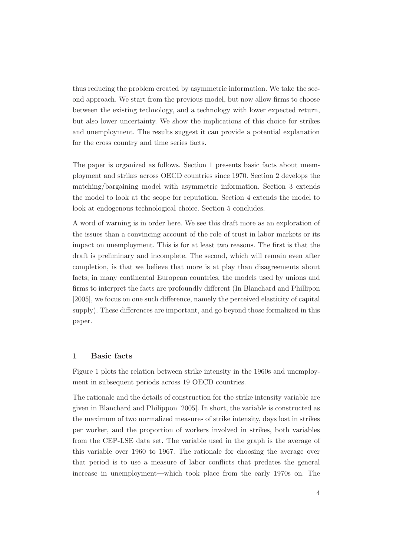thus reducing the problem created by asymmetric information. We take the second approach. We start from the previous model, but now allow firms to choose between the existing technology, and a technology with lower expected return, but also lower uncertainty. We show the implications of this choice for strikes and unemployment. The results suggest it can provide a potential explanation for the cross country and time series facts.

The paper is organized as follows. Section 1 presents basic facts about unemployment and strikes across OECD countries since 1970. Section 2 develops the matching/bargaining model with asymmetric information. Section 3 extends the model to look at the scope for reputation. Section 4 extends the model to look at endogenous technological choice. Section 5 concludes.

A word of warning is in order here. We see this draft more as an exploration of the issues than a convincing account of the role of trust in labor markets or its impact on unemployment. This is for at least two reasons. The first is that the draft is preliminary and incomplete. The second, which will remain even after completion, is that we believe that more is at play than disagreements about facts; in many continental European countries, the models used by unions and firms to interpret the facts are profoundly different (In Blanchard and Phillipon [2005], we focus on one such difference, namely the perceived elasticity of capital supply). These differences are important, and go beyond those formalized in this paper.

#### 1 Basic facts

Figure 1 plots the relation between strike intensity in the 1960s and unemployment in subsequent periods across 19 OECD countries.

The rationale and the details of construction for the strike intensity variable are given in Blanchard and Philippon [2005]. In short, the variable is constructed as the maximum of two normalized measures of strike intensity, days lost in strikes per worker, and the proportion of workers involved in strikes, both variables from the CEP-LSE data set. The variable used in the graph is the average of this variable over 1960 to 1967. The rationale for choosing the average over that period is to use a measure of labor conflicts that predates the general increase in unemployment—which took place from the early 1970s on. The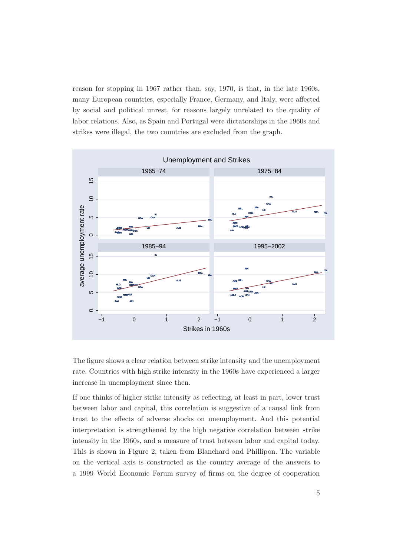reason for stopping in 1967 rather than, say, 1970, is that, in the late 1960s, many European countries, especially France, Germany, and Italy, were affected by social and political unrest, for reasons largely unrelated to the quality of labor relations. Also, as Spain and Portugal were dictatorships in the 1960s and strikes were illegal, the two countries are excluded from the graph.



The figure shows a clear relation between strike intensity and the unemployment rate. Countries with high strike intensity in the 1960s have experienced a larger increase in unemployment since then.

If one thinks of higher strike intensity as reflecting, at least in part, lower trust between labor and capital, this correlation is suggestive of a causal link from trust to the effects of adverse shocks on unemployment. And this potential interpretation is strengthened by the high negative correlation between strike intensity in the 1960s, and a measure of trust between labor and capital today. This is shown in Figure 2, taken from Blanchard and Phillipon. The variable on the vertical axis is constructed as the country average of the answers to a 1999 World Economic Forum survey of firms on the degree of cooperation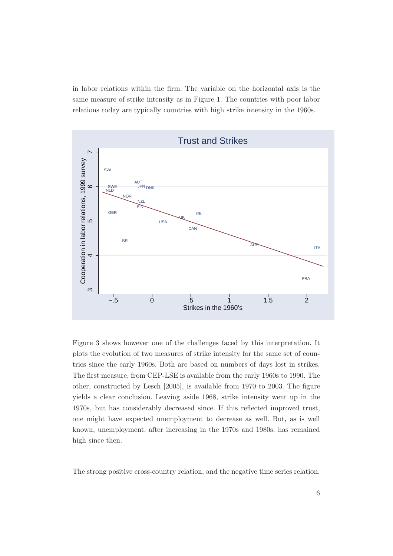in labor relations within the firm. The variable on the horizontal axis is the same measure of strike intensity as in Figure 1. The countries with poor labor relations today are typically countries with high strike intensity in the 1960s.



Figure 3 shows however one of the challenges faced by this interpretation. It plots the evolution of two measures of strike intensity for the same set of countries since the early 1960s. Both are based on numbers of days lost in strikes. The first measure, from CEP-LSE is available from the early 1960s to 1990. The other, constructed by Lesch [2005], is available from 1970 to 2003. The figure yields a clear conclusion. Leaving aside 1968, strike intensity went up in the 1970s, but has considerably decreased since. If this reflected improved trust, one might have expected unemployment to decrease as well. But, as is well known, unemployment, after increasing in the 1970s and 1980s, has remained high since then.

The strong positive cross-country relation, and the negative time series relation,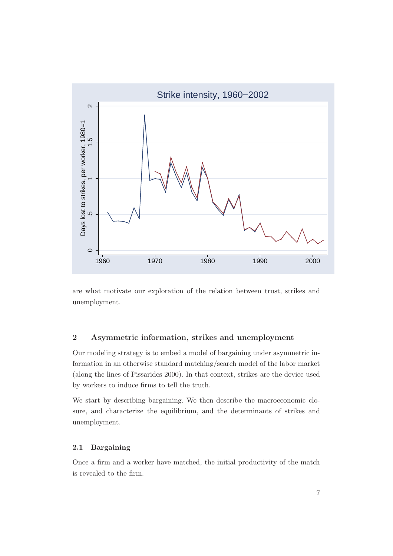

are what motivate our exploration of the relation between trust, strikes and unemployment.

# 2 Asymmetric information, strikes and unemployment

Our modeling strategy is to embed a model of bargaining under asymmetric information in an otherwise standard matching/search model of the labor market (along the lines of Pissarides 2000). In that context, strikes are the device used by workers to induce firms to tell the truth.

We start by describing bargaining. We then describe the macroeconomic closure, and characterize the equilibrium, and the determinants of strikes and unemployment.

## 2.1 Bargaining

Once a firm and a worker have matched, the initial productivity of the match is revealed to the firm.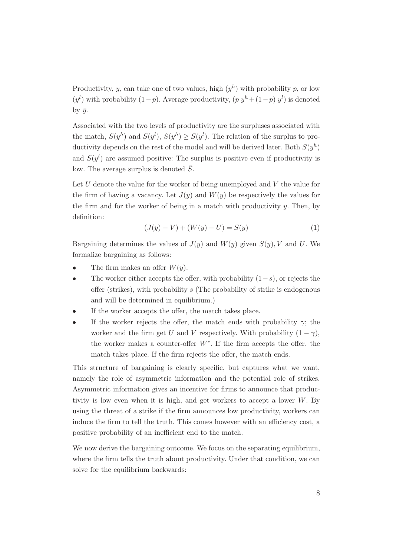Productivity, y, can take one of two values, high  $(y^h)$  with probability p, or low  $(y<sup>l</sup>)$  with probability  $(1-p)$ . Average productivity,  $(p y<sup>h</sup> + (1-p) y<sup>l</sup>)$  is denoted by  $\bar{y}$ .

Associated with the two levels of productivity are the surpluses associated with the match,  $S(y^h)$  and  $S(y^l)$ ,  $S(y^h) \geq S(y^l)$ . The relation of the surplus to productivity depends on the rest of the model and will be derived later. Both  $S(y^h)$ and  $S(y^l)$  are assumed positive: The surplus is positive even if productivity is low. The average surplus is denoted  $\overline{S}$ .

Let U denote the value for the worker of being unemployed and V the value for the firm of having a vacancy. Let  $J(y)$  and  $W(y)$  be respectively the values for the firm and for the worker of being in a match with productivity  $y$ . Then, by definition:

$$
(J(y) - V) + (W(y) - U) = S(y)
$$
\n(1)

Bargaining determines the values of  $J(y)$  and  $W(y)$  given  $S(y)$ , V and U. We formalize bargaining as follows:

- The firm makes an offer  $W(y)$ .
- The worker either accepts the offer, with probability  $(1-s)$ , or rejects the offer (strikes), with probability s (The probability of strike is endogenous and will be determined in equilibrium.)
- If the worker accepts the offer, the match takes place.
- If the worker rejects the offer, the match ends with probability  $\gamma$ ; the worker and the firm get U and V respectively. With probability  $(1 - \gamma)$ , the worker makes a counter-offer  $W<sup>c</sup>$ . If the firm accepts the offer, the match takes place. If the firm rejects the offer, the match ends.

This structure of bargaining is clearly specific, but captures what we want, namely the role of asymmetric information and the potential role of strikes. Asymmetric information gives an incentive for firms to announce that productivity is low even when it is high, and get workers to accept a lower  $W$ . By using the threat of a strike if the firm announces low productivity, workers can induce the firm to tell the truth. This comes however with an efficiency cost, a positive probability of an inefficient end to the match.

We now derive the bargaining outcome. We focus on the separating equilibrium, where the firm tells the truth about productivity. Under that condition, we can solve for the equilibrium backwards: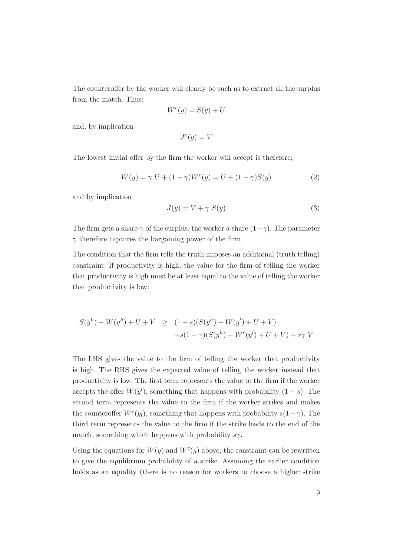The counteroffer by the worker will clearly be such as to extract all the surplus from the match. Thus:

$$
W^c(y) = S(y) + U
$$

and, by implication

$$
J^c(y) = V
$$

The lowest initial offer by the firm the worker will accept is therefore;

$$
W(y) = \gamma U + (1 - \gamma)W^{c}(y) = U + (1 - \gamma)S(y)
$$
\n(2)

and by implication

$$
J(y) = V + \gamma S(y) \tag{3}
$$

The firm gets a share  $\gamma$  of the surplus, the worker a share  $(1-\gamma)$ . The parameter  $\gamma$  therefore captures the bargaining power of the firm.

The condition that the firm tells the truth imposes an additional (truth telling) constraint: If productivity is high, the value for the firm of telling the worker that productivity is high must be at least equal to the value of telling the worker that productivity is low:

$$
S(y^{h}) - W(y^{h}) + U + V \ge (1 - s)(S(y^{h}) - W(y^{l}) + U + V)
$$
  
+
$$
+s(1 - \gamma)(S(y^{h}) - W^{c}(y^{l}) + U + V) + s\gamma V
$$

The LHS gives the value to the firm of telling the worker that productivity is high. The RHS gives the expected value of telling the worker instead that productivity is low. The first term represents the value to the firm if the worker accepts the offer  $W(y<sup>l</sup>)$ , something that happens with probability  $(1-s)$ . The second term represents the value to the firm if the worker strikes and makes the counteroffer  $W<sup>c</sup>(y<sub>l</sub>)$ , something that happens with probability  $s(1-\gamma)$ . The third term represents the value to the firm if the strike leads to the end of the match, something which happens with probability  $s\gamma$ .

Using the equations for  $W(y)$  and  $W<sup>c</sup>(y)$  above, the constraint can be rewritten to give the equilibrium probability of a strike. Assuming the earlier condition holds as an equality (there is no reason for workers to choose a higher strike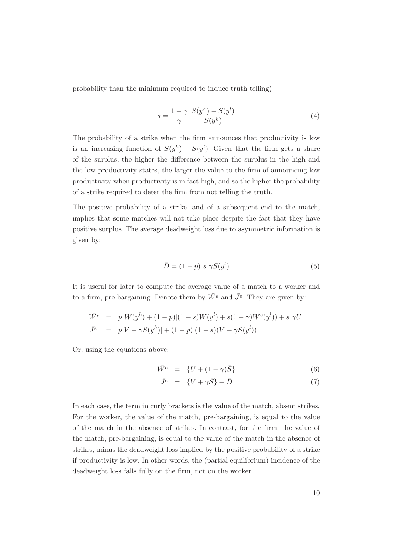probability than the minimum required to induce truth telling):

$$
s = \frac{1 - \gamma}{\gamma} \frac{S(y^h) - S(y^l)}{S(y^h)}
$$
(4)

The probability of a strike when the firm announces that productivity is low is an increasing function of  $S(y^h) - S(y^l)$ : Given that the firm gets a share of the surplus, the higher the difference between the surplus in the high and the low productivity states, the larger the value to the firm of announcing low productivity when productivity is in fact high, and so the higher the probability of a strike required to deter the firm from not telling the truth.

The positive probability of a strike, and of a subsequent end to the match, implies that some matches will not take place despite the fact that they have positive surplus. The average deadweight loss due to asymmetric information is given by:

$$
\bar{D} = (1 - p) \ s \ \gamma S(y^l) \tag{5}
$$

It is useful for later to compute the average value of a match to a worker and to a firm, pre-bargaining. Denote them by  $\bar{W}^e$  and  $\bar{J}^e$ . They are given by:

$$
\begin{aligned}\n\bar{W}^e &= p \ W(y^h) + (1-p)[(1-s)W(y^l) + s(1-\gamma)W^c(y^l)) + s \ \gamma U] \\
\bar{J}^e &= p[V + \gamma S(y^h)] + (1-p)[(1-s)(V + \gamma S(y^l))]\n\end{aligned}
$$

Or, using the equations above:

$$
\bar{W}^e = \{ U + (1 - \gamma)\bar{S} \} \tag{6}
$$

$$
\bar{J}^e = \{V + \gamma \bar{S}\} - \bar{D} \tag{7}
$$

In each case, the term in curly brackets is the value of the match, absent strikes. For the worker, the value of the match, pre-bargaining, is equal to the value of the match in the absence of strikes. In contrast, for the firm, the value of the match, pre-bargaining, is equal to the value of the match in the absence of strikes, minus the deadweight loss implied by the positive probability of a strike if productivity is low. In other words, the (partial equilibrium) incidence of the deadweight loss falls fully on the firm, not on the worker.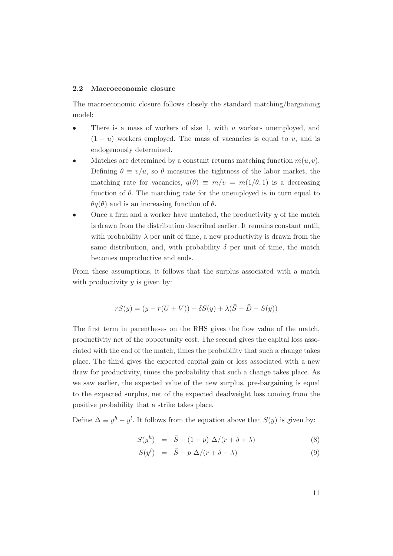#### 2.2 Macroeconomic closure

The macroeconomic closure follows closely the standard matching/bargaining model:

- There is a mass of workers of size 1, with  $u$  workers unemployed, and  $(1 - u)$  workers employed. The mass of vacancies is equal to v, and is endogenously determined.
- Matches are determined by a constant returns matching function  $m(u, v)$ . Defining  $\theta \equiv v/u$ , so  $\theta$  measures the tightness of the labor market, the matching rate for vacancies,  $q(\theta) \equiv m/v = m(1/\theta, 1)$  is a decreasing function of  $\theta$ . The matching rate for the unemployed is in turn equal to  $\theta q(\theta)$  and is an increasing function of  $\theta$ .
- Once a firm and a worker have matched, the productivity  $y$  of the match is drawn from the distribution described earlier. It remains constant until, with probability  $\lambda$  per unit of time, a new productivity is drawn from the same distribution, and, with probability  $\delta$  per unit of time, the match becomes unproductive and ends.

From these assumptions, it follows that the surplus associated with a match with productivity  $y$  is given by:

$$
rS(y) = (y - r(U + V)) - \delta S(y) + \lambda(\overline{S} - \overline{D} - S(y))
$$

The first term in parentheses on the RHS gives the flow value of the match, productivity net of the opportunity cost. The second gives the capital loss associated with the end of the match, times the probability that such a change takes place. The third gives the expected capital gain or loss associated with a new draw for productivity, times the probability that such a change takes place. As we saw earlier, the expected value of the new surplus, pre-bargaining is equal to the expected surplus, net of the expected deadweight loss coming from the positive probability that a strike takes place.

Define  $\Delta \equiv y^h - y^l$ . It follows from the equation above that  $S(y)$  is given by:

$$
S(yh) = \bar{S} + (1 - p) \Delta/(r + \delta + \lambda)
$$
 (8)

$$
S(y^l) = \bar{S} - p \Delta/(r + \delta + \lambda) \tag{9}
$$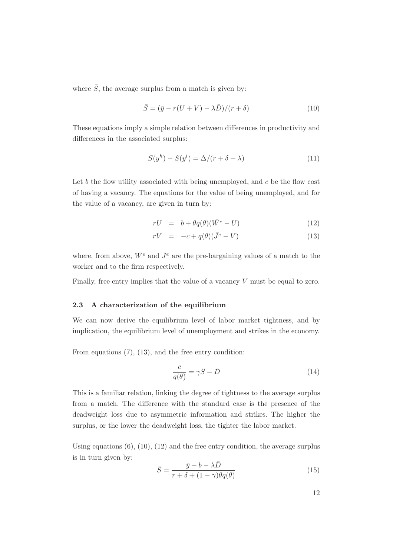where  $\overline{S}$ , the average surplus from a match is given by:

$$
\bar{S} = (\bar{y} - r(U + V) - \lambda \bar{D})/(r + \delta)
$$
\n(10)

These equations imply a simple relation between differences in productivity and differences in the associated surplus:

$$
S(yh) - S(yl) = \Delta/(r + \delta + \lambda)
$$
\n(11)

Let  $b$  the flow utility associated with being unemployed, and  $c$  be the flow cost of having a vacancy. The equations for the value of being unemployed, and for the value of a vacancy, are given in turn by:

$$
rU = b + \theta q(\theta)(\bar{W}^e - U) \tag{12}
$$

$$
rV = -c + q(\theta)(\bar{J}^e - V) \tag{13}
$$

where, from above,  $\bar{W}^e$  and  $\bar{J}^e$  are the pre-bargaining values of a match to the worker and to the firm respectively.

Finally, free entry implies that the value of a vacancy V must be equal to zero.

#### 2.3 A characterization of the equilibrium

We can now derive the equilibrium level of labor market tightness, and by implication, the equilibrium level of unemployment and strikes in the economy.

From equations (7), (13), and the free entry condition:

$$
\frac{c}{q(\theta)} = \gamma \bar{S} - \bar{D} \tag{14}
$$

This is a familiar relation, linking the degree of tightness to the average surplus from a match. The difference with the standard case is the presence of the deadweight loss due to asymmetric information and strikes. The higher the surplus, or the lower the deadweight loss, the tighter the labor market.

Using equations  $(6)$ ,  $(10)$ ,  $(12)$  and the free entry condition, the average surplus is in turn given by:

$$
\bar{S} = \frac{\bar{y} - b - \lambda \bar{D}}{r + \delta + (1 - \gamma)\theta q(\theta)}\tag{15}
$$

12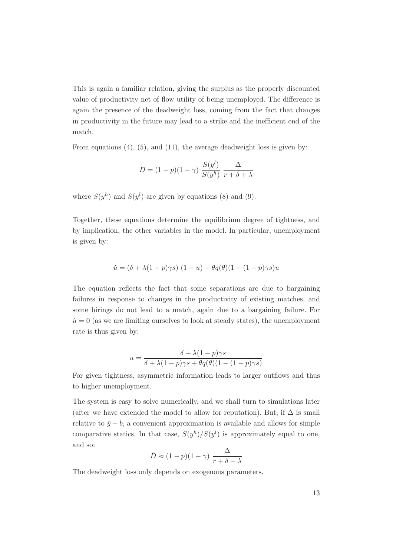This is again a familiar relation, giving the surplus as the properly discounted value of productivity net of flow utility of being unemployed. The difference is again the presence of the deadweight loss, coming from the fact that changes in productivity in the future may lead to a strike and the inefficient end of the match.

From equations (4), (5), and (11), the average deadweight loss is given by:

$$
\bar{D} = (1 - p)(1 - \gamma) \frac{S(y^{l})}{S(y^{h})} \frac{\Delta}{r + \delta + \lambda}
$$

where  $S(y^h)$  and  $S(y^l)$  are given by equations (8) and (9).

Together, these equations determine the equilibrium degree of tightness, and by implication, the other variables in the model. In particular, unemployment is given by:

$$
\dot{u} = (\delta + \lambda(1-p)\gamma s) (1-u) - \theta q(\theta)(1-(1-p)\gamma s)u
$$

The equation reflects the fact that some separations are due to bargaining failures in response to changes in the productivity of existing matches, and some hirings do not lead to a match, again due to a bargaining failure. For  $\dot{u} = 0$  (as we are limiting ourselves to look at steady states), the unemployment rate is thus given by:

$$
u = \frac{\delta + \lambda(1 - p)\gamma s}{\delta + \lambda(1 - p)\gamma s + \theta q(\theta)(1 - (1 - p)\gamma s)}
$$

For given tightness, asymmetric information leads to larger outflows and thus to higher unemployment.

The system is easy to solve numerically, and we shall turn to simulations later (after we have extended the model to allow for reputation). But, if  $\Delta$  is small relative to  $\bar{y} - b$ , a convenient approximation is available and allows for simple comparative statics. In that case,  $S(y^h)/S(y^l)$  is approximately equal to one, and so:

$$
\bar{D} \approx (1 - p)(1 - \gamma) \frac{\Delta}{r + \delta + \lambda}
$$

The deadweight loss only depends on exogenous parameters.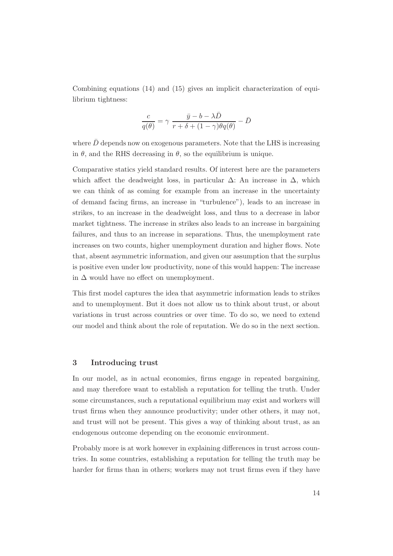Combining equations (14) and (15) gives an implicit characterization of equilibrium tightness:

$$
\frac{c}{q(\theta)} = \gamma \; \frac{\bar{y} - b - \lambda \bar{D}}{r + \delta + (1 - \gamma) \theta q(\theta)} - \bar{D}
$$

where  $\bar{D}$  depends now on exogenous parameters. Note that the LHS is increasing in  $\theta$ , and the RHS decreasing in  $\theta$ , so the equilibrium is unique.

Comparative statics yield standard results. Of interest here are the parameters which affect the deadweight loss, in particular  $\Delta$ : An increase in  $\Delta$ , which we can think of as coming for example from an increase in the uncertainty of demand facing firms, an increase in "turbulence"), leads to an increase in strikes, to an increase in the deadweight loss, and thus to a decrease in labor market tightness. The increase in strikes also leads to an increase in bargaining failures, and thus to an increase in separations. Thus, the unemployment rate increases on two counts, higher unemployment duration and higher flows. Note that, absent asymmetric information, and given our assumption that the surplus is positive even under low productivity, none of this would happen: The increase in  $\Delta$  would have no effect on unemployment.

This first model captures the idea that asymmetric information leads to strikes and to unemployment. But it does not allow us to think about trust, or about variations in trust across countries or over time. To do so, we need to extend our model and think about the role of reputation. We do so in the next section.

## 3 Introducing trust

In our model, as in actual economies, firms engage in repeated bargaining, and may therefore want to establish a reputation for telling the truth. Under some circumstances, such a reputational equilibrium may exist and workers will trust firms when they announce productivity; under other others, it may not, and trust will not be present. This gives a way of thinking about trust, as an endogenous outcome depending on the economic environment.

Probably more is at work however in explaining differences in trust across countries. In some countries, establishing a reputation for telling the truth may be harder for firms than in others; workers may not trust firms even if they have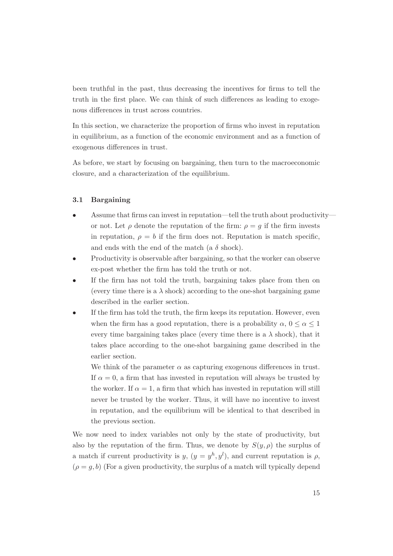been truthful in the past, thus decreasing the incentives for firms to tell the truth in the first place. We can think of such differences as leading to exogenous differences in trust across countries.

In this section, we characterize the proportion of firms who invest in reputation in equilibrium, as a function of the economic environment and as a function of exogenous differences in trust.

As before, we start by focusing on bargaining, then turn to the macroeconomic closure, and a characterization of the equilibrium.

## 3.1 Bargaining

- Assume that firms can invest in reputation—tell the truth about productivity or not. Let  $\rho$  denote the reputation of the firm:  $\rho = g$  if the firm invests in reputation,  $\rho = b$  if the firm does not. Reputation is match specific, and ends with the end of the match (a  $\delta$  shock).
- Productivity is observable after bargaining, so that the worker can observe ex-post whether the firm has told the truth or not.
- If the firm has not told the truth, bargaining takes place from then on (every time there is a  $\lambda$  shock) according to the one-shot bargaining game described in the earlier section.
- If the firm has told the truth, the firm keeps its reputation. However, even when the firm has a good reputation, there is a probability  $\alpha, 0 \leq \alpha \leq 1$ every time bargaining takes place (every time there is a  $\lambda$  shock), that it takes place according to the one-shot bargaining game described in the earlier section.

We think of the parameter  $\alpha$  as capturing exogenous differences in trust. If  $\alpha = 0$ , a firm that has invested in reputation will always be trusted by the worker. If  $\alpha = 1$ , a firm that which has invested in reputation will still never be trusted by the worker. Thus, it will have no incentive to invest in reputation, and the equilibrium will be identical to that described in the previous section.

We now need to index variables not only by the state of productivity, but also by the reputation of the firm. Thus, we denote by  $S(y, \rho)$  the surplus of a match if current productivity is  $y, (y = y^h, y^l)$ , and current reputation is  $\rho$ ,  $(\rho = g, b)$  (For a given productivity, the surplus of a match will typically depend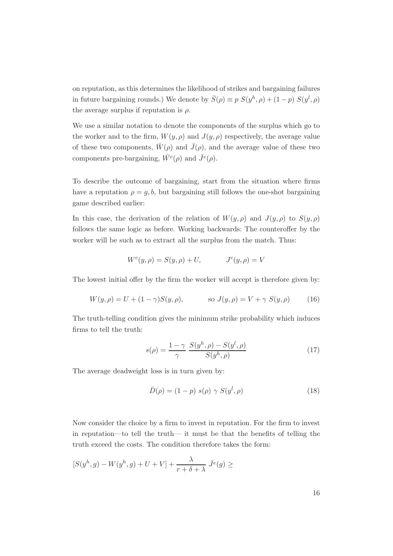on reputation, as this determines the likelihood of strikes and bargaining failures in future bargaining rounds.) We denote by  $\bar{S}(\rho) \equiv p S(y^h, \rho) + (1-p) S(y^l, \rho)$ the average surplus if reputation is  $\rho$ .

We use a similar notation to denote the components of the surplus which go to the worker and to the firm,  $W(y, \rho)$  and  $J(y, \rho)$  respectively, the average value of these two components,  $\bar{W}(\rho)$  and  $\bar{J}(\rho)$ , and the average value of these two components pre-bargaining,  $\bar{W}^e(\rho)$  and  $\bar{J}^e(\rho)$ .

To describe the outcome of bargaining, start from the situation where firms have a reputation  $\rho = q, b$ , but bargaining still follows the one-shot bargaining game described earlier:

In this case, the derivation of the relation of  $W(y, \rho)$  and  $J(y, \rho)$  to  $S(y, \rho)$ follows the same logic as before. Working backwards: The counteroffer by the worker will be such as to extract all the surplus from the match. Thus:

$$
Wc(y, \rho) = S(y, \rho) + U, \qquad Jc(y, \rho) = V
$$

The lowest initial offer by the firm the worker will accept is therefore given by:

$$
W(y, \rho) = U + (1 - \gamma)S(y, \rho), \qquad \text{so } J(y, \rho) = V + \gamma S(y, \rho) \qquad (16)
$$

The truth-telling condition gives the minimum strike probability which induces firms to tell the truth:

$$
s(\rho) = \frac{1-\gamma}{\gamma} \frac{S(y^h, \rho) - S(y^l, \rho)}{S(y^h, \rho)}
$$
(17)

The average deadweight loss is in turn given by:

$$
\bar{D}(\rho) = (1 - p) s(\rho) \gamma S(y^l, \rho)
$$
\n(18)

Now consider the choice by a firm to invest in reputation. For the firm to invest in reputation—to tell the truth— it must be that the benefits of telling the truth exceed the costs. The condition therefore takes the form:

$$
[S(yh, g) - W(yh, g) + U + V] + \frac{\lambda}{r + \delta + \lambda} \bar{J}^{e}(g) \ge
$$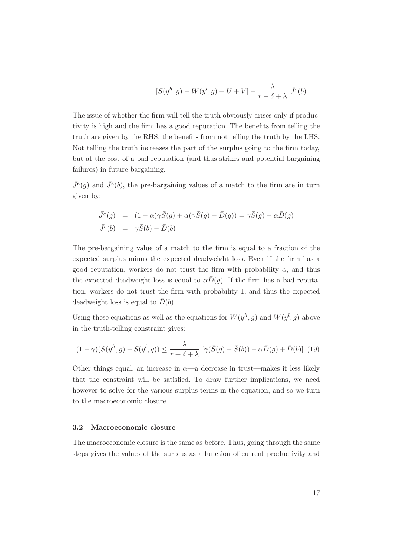$$
[S(yh, g) - W(yl, g) + U + V] + \frac{\lambda}{r + \delta + \lambda} \bar{J}^e(b)
$$

The issue of whether the firm will tell the truth obviously arises only if productivity is high and the firm has a good reputation. The benefits from telling the truth are given by the RHS, the benefits from not telling the truth by the LHS. Not telling the truth increases the part of the surplus going to the firm today, but at the cost of a bad reputation (and thus strikes and potential bargaining failures) in future bargaining.

 $\bar{J}^e(g)$  and  $\bar{J}^e(b)$ , the pre-bargaining values of a match to the firm are in turn given by:

$$
\begin{array}{rcl}\n\bar{J}^e(g) & = & (1 - \alpha)\gamma \bar{S}(g) + \alpha(\gamma \bar{S}(g) - \bar{D}(g)) = \gamma \bar{S}(g) - \alpha \bar{D}(g) \\
\bar{J}^e(b) & = & \gamma \bar{S}(b) - \bar{D}(b)\n\end{array}
$$

The pre-bargaining value of a match to the firm is equal to a fraction of the expected surplus minus the expected deadweight loss. Even if the firm has a good reputation, workers do not trust the firm with probability  $\alpha$ , and thus the expected deadweight loss is equal to  $\alpha \bar{D}(q)$ . If the firm has a bad reputation, workers do not trust the firm with probability 1, and thus the expected deadweight loss is equal to  $\bar{D}(b)$ .

Using these equations as well as the equations for  $W(y^h, g)$  and  $W(y^l, g)$  above in the truth-telling constraint gives:

$$
(1 - \gamma)(S(y^h, g) - S(y^l, g)) \le \frac{\lambda}{r + \delta + \lambda} \left[ \gamma(\bar{S}(g) - \bar{S}(b)) - \alpha \bar{D}(g) + \bar{D}(b) \right] (19)
$$

Other things equal, an increase in  $\alpha$ —a decrease in trust—makes it less likely that the constraint will be satisfied. To draw further implications, we need however to solve for the various surplus terms in the equation, and so we turn to the macroeconomic closure.

#### 3.2 Macroeconomic closure

The macroeconomic closure is the same as before. Thus, going through the same steps gives the values of the surplus as a function of current productivity and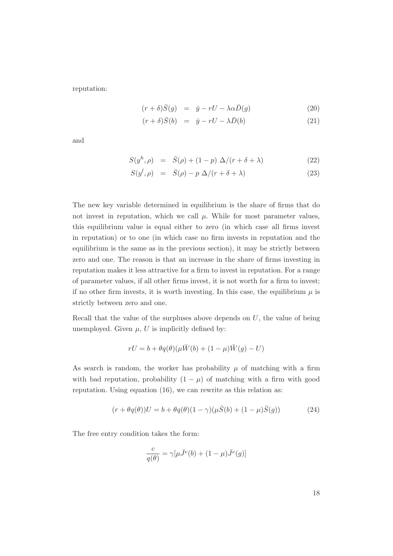reputation:

$$
(r+\delta)\bar{S}(g) = \bar{y} - rU - \lambda\alpha\bar{D}(g) \tag{20}
$$

$$
(r+\delta)\bar{S}(b) = \bar{y} - rU - \lambda \bar{D}(b) \tag{21}
$$

and

$$
S(yh, \rho) = \bar{S}(\rho) + (1 - p) \Delta/(r + \delta + \lambda)
$$
 (22)

$$
S(y^l, \rho) = \bar{S}(\rho) - p \Delta/(r + \delta + \lambda)
$$
 (23)

The new key variable determined in equilibrium is the share of firms that do not invest in reputation, which we call  $\mu$ . While for most parameter values, this equilibrium value is equal either to zero (in which case all firms invest in reputation) or to one (in which case no firm invests in reputation and the equilibrium is the same as in the previous section), it may be strictly between zero and one. The reason is that an increase in the share of firms investing in reputation makes it less attractive for a firm to invest in reputation. For a range of parameter values, if all other firms invest, it is not worth for a firm to invest; if no other firm invests, it is worth investing. In this case, the equilibrium  $\mu$  is strictly between zero and one.

Recall that the value of the surpluses above depends on  $U$ , the value of being unemployed. Given  $\mu$ , U is implicitly defined by:

$$
rU = b + \theta q(\theta)(\mu \bar{W}(b) + (1 - \mu)\bar{W}(g) - U)
$$

As search is random, the worker has probability  $\mu$  of matching with a firm with bad reputation, probability  $(1 - \mu)$  of matching with a firm with good reputation. Using equation (16), we can rewrite as this relation as:

$$
(r + \theta q(\theta))U = b + \theta q(\theta)(1 - \gamma)(\mu \bar{S}(b) + (1 - \mu)\bar{S}(g))
$$
\n(24)

The free entry condition takes the form:

$$
\frac{c}{q(\theta)} = \gamma[\mu \bar{J}^e(b) + (1 - \mu)\bar{J}^e(g)]
$$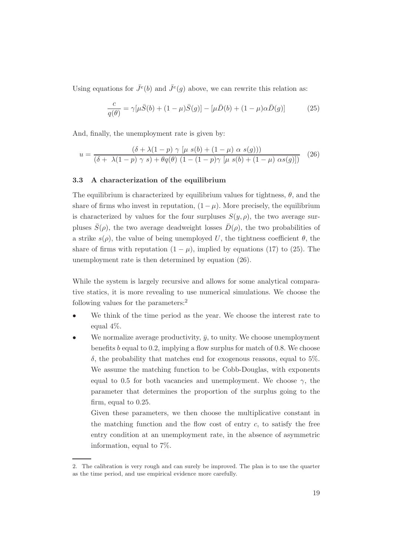Using equations for  $\bar{J}^e(b)$  and  $\bar{J}^e(g)$  above, we can rewrite this relation as:

$$
\frac{c}{q(\theta)} = \gamma[\mu \bar{S}(b) + (1 - \mu)\bar{S}(g)] - [\mu \bar{D}(b) + (1 - \mu)\alpha \bar{D}(g)]
$$
 (25)

And, finally, the unemployment rate is given by:

$$
u = \frac{(\delta + \lambda(1-p) \gamma \left[\mu s(b) + (1-\mu) \alpha s(g)\right])}{(\delta + \lambda(1-p) \gamma s) + \theta q(\theta) (1 - (1-p) \gamma \left[\mu s(b) + (1-\mu) \alpha s(g)\right])} \tag{26}
$$

## 3.3 A characterization of the equilibrium

The equilibrium is characterized by equilibrium values for tightness,  $\theta$ , and the share of firms who invest in reputation,  $(1 - \mu)$ . More precisely, the equilibrium is characterized by values for the four surpluses  $S(y, \rho)$ , the two average surpluses  $\bar{S}(\rho)$ , the two average deadweight losses  $\bar{D}(\rho)$ , the two probabilities of a strike  $s(\rho)$ , the value of being unemployed U, the tightness coefficient  $\theta$ , the share of firms with reputation  $(1 - \mu)$ , implied by equations (17) to (25). The unemployment rate is then determined by equation (26).

While the system is largely recursive and allows for some analytical comparative statics, it is more revealing to use numerical simulations. We choose the following values for the parameters:<sup>2</sup>

- We think of the time period as the year. We choose the interest rate to equal 4%.
- We normalize average productivity,  $\bar{y}$ , to unity. We choose unemployment benefits b equal to 0.2, implying a flow surplus for match of 0.8. We choose δ, the probability that matches end for exogenous reasons, equal to 5%. We assume the matching function to be Cobb-Douglas, with exponents equal to 0.5 for both vacancies and unemployment. We choose  $\gamma$ , the parameter that determines the proportion of the surplus going to the firm, equal to 0.25.

Given these parameters, we then choose the multiplicative constant in the matching function and the flow cost of entry  $c$ , to satisfy the free entry condition at an unemployment rate, in the absence of asymmetric information, equal to 7%.

<sup>2.</sup> The calibration is very rough and can surely be improved. The plan is to use the quarter as the time period, and use empirical evidence more carefully.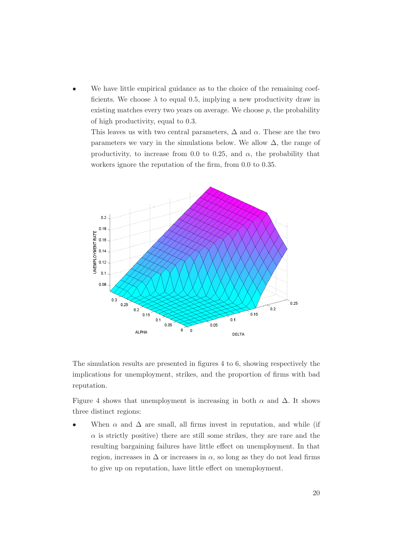We have little empirical guidance as to the choice of the remaining coefficients. We choose  $\lambda$  to equal 0.5, implying a new productivity draw in existing matches every two years on average. We choose  $p$ , the probability of high productivity, equal to 0.3.

This leaves us with two central parameters,  $\Delta$  and  $\alpha$ . These are the two parameters we vary in the simulations below. We allow  $\Delta$ , the range of productivity, to increase from 0.0 to 0.25, and  $\alpha$ , the probability that workers ignore the reputation of the firm, from 0.0 to 0.35.



The simulation results are presented in figures 4 to 6, showing respectively the implications for unemployment, strikes, and the proportion of firms with bad reputation.

Figure 4 shows that unemployment is increasing in both  $\alpha$  and  $\Delta$ . It shows three distinct regions:

When  $\alpha$  and  $\Delta$  are small, all firms invest in reputation, and while (if  $\alpha$  is strictly positive) there are still some strikes, they are rare and the resulting bargaining failures have little effect on unemployment. In that region, increases in  $\Delta$  or increases in  $\alpha$ , so long as they do not lead firms to give up on reputation, have little effect on unemployment.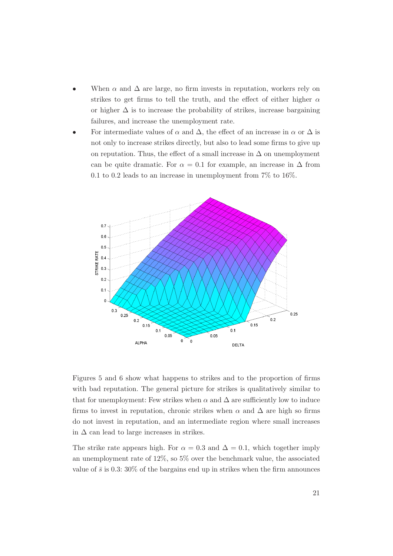- When  $\alpha$  and  $\Delta$  are large, no firm invests in reputation, workers rely on strikes to get firms to tell the truth, and the effect of either higher  $\alpha$ or higher  $\Delta$  is to increase the probability of strikes, increase bargaining failures, and increase the unemployment rate.
- For intermediate values of  $\alpha$  and  $\Delta$ , the effect of an increase in  $\alpha$  or  $\Delta$  is not only to increase strikes directly, but also to lead some firms to give up on reputation. Thus, the effect of a small increase in  $\Delta$  on unemployment can be quite dramatic. For  $\alpha = 0.1$  for example, an increase in  $\Delta$  from  $0.1$  to  $0.2$  leads to an increase in unemployment from  $7\%$  to  $16\%.$



Figures 5 and 6 show what happens to strikes and to the proportion of firms with bad reputation. The general picture for strikes is qualitatively similar to that for unemployment: Few strikes when  $\alpha$  and  $\Delta$  are sufficiently low to induce firms to invest in reputation, chronic strikes when  $\alpha$  and  $\Delta$  are high so firms do not invest in reputation, and an intermediate region where small increases in  $\Delta$  can lead to large increases in strikes.

The strike rate appears high. For  $\alpha = 0.3$  and  $\Delta = 0.1$ , which together imply an unemployment rate of 12%, so 5% over the benchmark value, the associated value of  $\bar{s}$  is 0.3: 30% of the bargains end up in strikes when the firm announces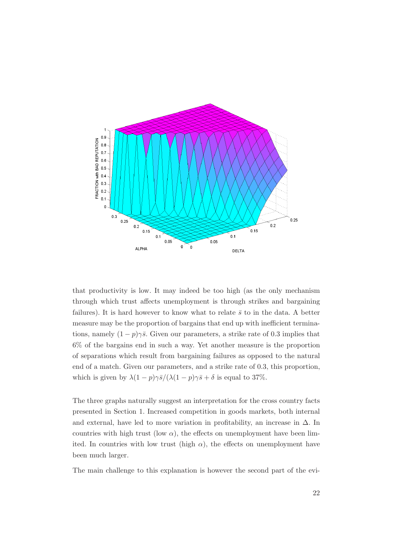

that productivity is low. It may indeed be too high (as the only mechanism through which trust affects unemployment is through strikes and bargaining failures). It is hard however to know what to relate  $\bar{s}$  to in the data. A better measure may be the proportion of bargains that end up with inefficient terminations, namely  $(1-p)\gamma\bar{s}$ . Given our parameters, a strike rate of 0.3 implies that 6% of the bargains end in such a way. Yet another measure is the proportion of separations which result from bargaining failures as opposed to the natural end of a match. Given our parameters, and a strike rate of 0.3, this proportion, which is given by  $\lambda(1-p)\gamma\bar{s}/(\lambda(1-p)\gamma\bar{s}+\delta)$  is equal to 37%.

The three graphs naturally suggest an interpretation for the cross country facts presented in Section 1. Increased competition in goods markets, both internal and external, have led to more variation in profitability, an increase in  $\Delta$ . In countries with high trust (low  $\alpha$ ), the effects on unemployment have been limited. In countries with low trust (high  $\alpha$ ), the effects on unemployment have been much larger.

The main challenge to this explanation is however the second part of the evi-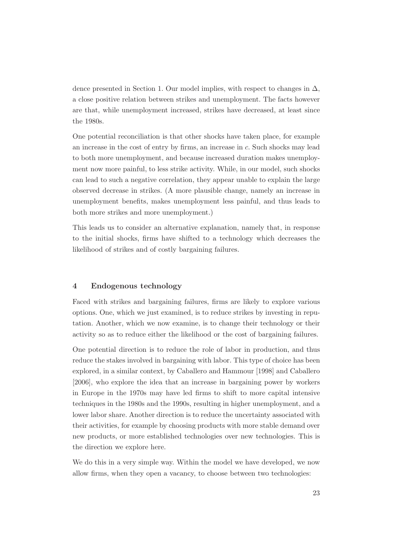dence presented in Section 1. Our model implies, with respect to changes in  $\Delta$ , a close positive relation between strikes and unemployment. The facts however are that, while unemployment increased, strikes have decreased, at least since the 1980s.

One potential reconciliation is that other shocks have taken place, for example an increase in the cost of entry by firms, an increase in c. Such shocks may lead to both more unemployment, and because increased duration makes unemployment now more painful, to less strike activity. While, in our model, such shocks can lead to such a negative correlation, they appear unable to explain the large observed decrease in strikes. (A more plausible change, namely an increase in unemployment benefits, makes unemployment less painful, and thus leads to both more strikes and more unemployment.)

This leads us to consider an alternative explanation, namely that, in response to the initial shocks, firms have shifted to a technology which decreases the likelihood of strikes and of costly bargaining failures.

# 4 Endogenous technology

Faced with strikes and bargaining failures, firms are likely to explore various options. One, which we just examined, is to reduce strikes by investing in reputation. Another, which we now examine, is to change their technology or their activity so as to reduce either the likelihood or the cost of bargaining failures.

One potential direction is to reduce the role of labor in production, and thus reduce the stakes involved in bargaining with labor. This type of choice has been explored, in a similar context, by Caballero and Hammour [1998] and Caballero [2006], who explore the idea that an increase in bargaining power by workers in Europe in the 1970s may have led firms to shift to more capital intensive techniques in the 1980s and the 1990s, resulting in higher unemployment, and a lower labor share. Another direction is to reduce the uncertainty associated with their activities, for example by choosing products with more stable demand over new products, or more established technologies over new technologies. This is the direction we explore here.

We do this in a very simple way. Within the model we have developed, we now allow firms, when they open a vacancy, to choose between two technologies: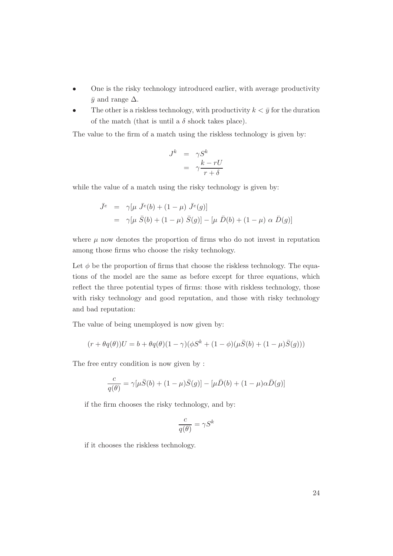- One is the risky technology introduced earlier, with average productivity  $\bar{y}$  and range  $\Delta$ .
- The other is a riskless technology, with productivity  $k < \bar{y}$  for the duration of the match (that is until a  $\delta$  shock takes place).

The value to the firm of a match using the riskless technology is given by:

$$
J^k = \gamma S^k
$$
  
=  $\gamma \frac{k - rU}{r + \delta}$ 

while the value of a match using the risky technology is given by:

$$
\begin{array}{rcl}\n\bar{J}^e & = & \gamma[\mu \ \bar{J}^e(b) + (1 - \mu) \ \bar{J}^e(g)] \\
& = & \gamma[\mu \ \bar{S}(b) + (1 - \mu) \ \bar{S}(g)] - [\mu \ \bar{D}(b) + (1 - \mu) \ \alpha \ \bar{D}(g)]\n\end{array}
$$

where  $\mu$  now denotes the proportion of firms who do not invest in reputation among those firms who choose the risky technology.

Let  $\phi$  be the proportion of firms that choose the riskless technology. The equations of the model are the same as before except for three equations, which reflect the three potential types of firms: those with riskless technology, those with risky technology and good reputation, and those with risky technology and bad reputation:

The value of being unemployed is now given by:

$$
(r+\theta q(\theta))U=b+\theta q(\theta)(1-\gamma)(\phi S^k+(1-\phi)(\mu\bar{S}(b)+(1-\mu)\bar{S}(g)))
$$

The free entry condition is now given by :

$$
\frac{c}{q(\theta)} = \gamma[\mu \bar{S}(b) + (1 - \mu)\bar{S}(g)] - [\mu \bar{D}(b) + (1 - \mu)\alpha \bar{D}(g)]
$$

if the firm chooses the risky technology, and by:

$$
\frac{c}{q(\theta)} = \gamma S^k
$$

if it chooses the riskless technology.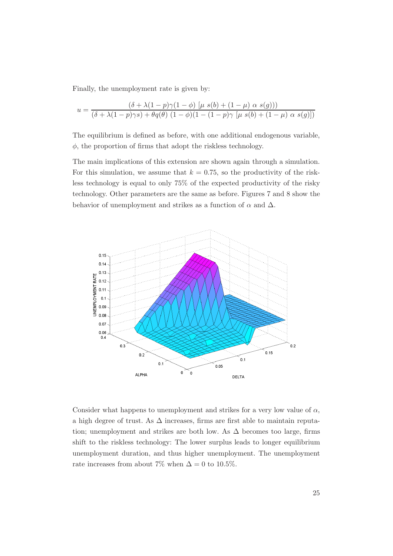Finally, the unemployment rate is given by:

$$
u = \frac{(\delta + \lambda(1-p)\gamma(1-\phi) \left[\mu \ s(b) + (1-\mu) \ \alpha \ s(g)\right])}{(\delta + \lambda(1-p)\gamma s) + \theta q(\theta) \ (1-\phi)(1-(1-p)\gamma \left[\mu \ s(b) + (1-\mu) \ \alpha \ s(g)\right])}
$$

The equilibrium is defined as before, with one additional endogenous variable,  $\phi$ , the proportion of firms that adopt the riskless technology.

The main implications of this extension are shown again through a simulation. For this simulation, we assume that  $k = 0.75$ , so the productivity of the riskless technology is equal to only 75% of the expected productivity of the risky technology. Other parameters are the same as before. Figures 7 and 8 show the behavior of unemployment and strikes as a function of  $\alpha$  and  $\Delta$ .



Consider what happens to unemployment and strikes for a very low value of  $\alpha$ , a high degree of trust. As  $\Delta$  increases, firms are first able to maintain reputation; unemployment and strikes are both low. As  $\Delta$  becomes too large, firms shift to the riskless technology: The lower surplus leads to longer equilibrium unemployment duration, and thus higher unemployment. The unemployment rate increases from about 7% when  $\Delta = 0$  to 10.5%.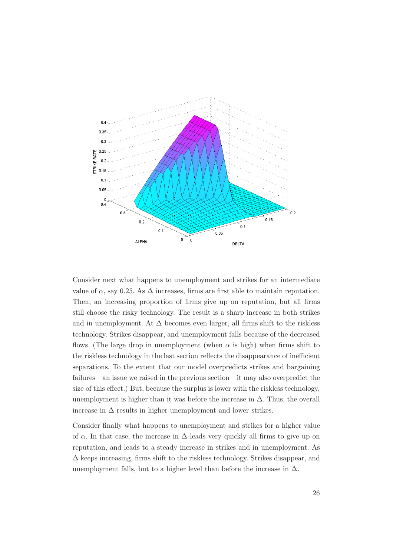

Consider next what happens to unemployment and strikes for an intermediate value of  $\alpha$ , say 0.25. As  $\Delta$  increases, firms are first able to maintain reputation. Then, an increasing proportion of firms give up on reputation, but all firms still choose the risky technology. The result is a sharp increase in both strikes and in unemployment. At  $\Delta$  becomes even larger, all firms shift to the riskless technology. Strikes disappear, and unemployment falls because of the decreased flows. (The large drop in unemployment (when  $\alpha$  is high) when firms shift to the riskless technology in the last section reflects the disappearance of inefficient separations. To the extent that our model overpredicts strikes and bargaining failures—an issue we raised in the previous section—it may also overpredict the size of this effect.) But, because the surplus is lower with the riskless technology, unemployment is higher than it was before the increase in  $\Delta$ . Thus, the overall increase in  $\Delta$  results in higher unemployment and lower strikes.

Consider finally what happens to unemployment and strikes for a higher value of  $\alpha$ . In that case, the increase in  $\Delta$  leads very quickly all firms to give up on reputation, and leads to a steady increase in strikes and in unemployment. As ∆ keeps increasing, firms shift to the riskless technology. Strikes disappear, and unemployment falls, but to a higher level than before the increase in  $\Delta$ .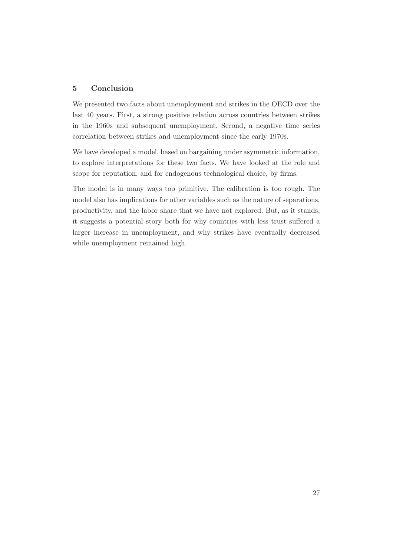## 5 Conclusion

We presented two facts about unemployment and strikes in the OECD over the last 40 years. First, a strong positive relation across countries between strikes in the 1960s and subsequent unemployment. Second, a negative time series correlation between strikes and unemployment since the early 1970s.

We have developed a model, based on bargaining under asymmetric information, to explore interpretations for these two facts. We have looked at the role and scope for reputation, and for endogenous technological choice, by firms.

The model is in many ways too primitive. The calibration is too rough. The model also has implications for other variables such as the nature of separations, productivity, and the labor share that we have not explored. But, as it stands, it suggests a potential story both for why countries with less trust suffered a larger increase in unemployment, and why strikes have eventually decreased while unemployment remained high.